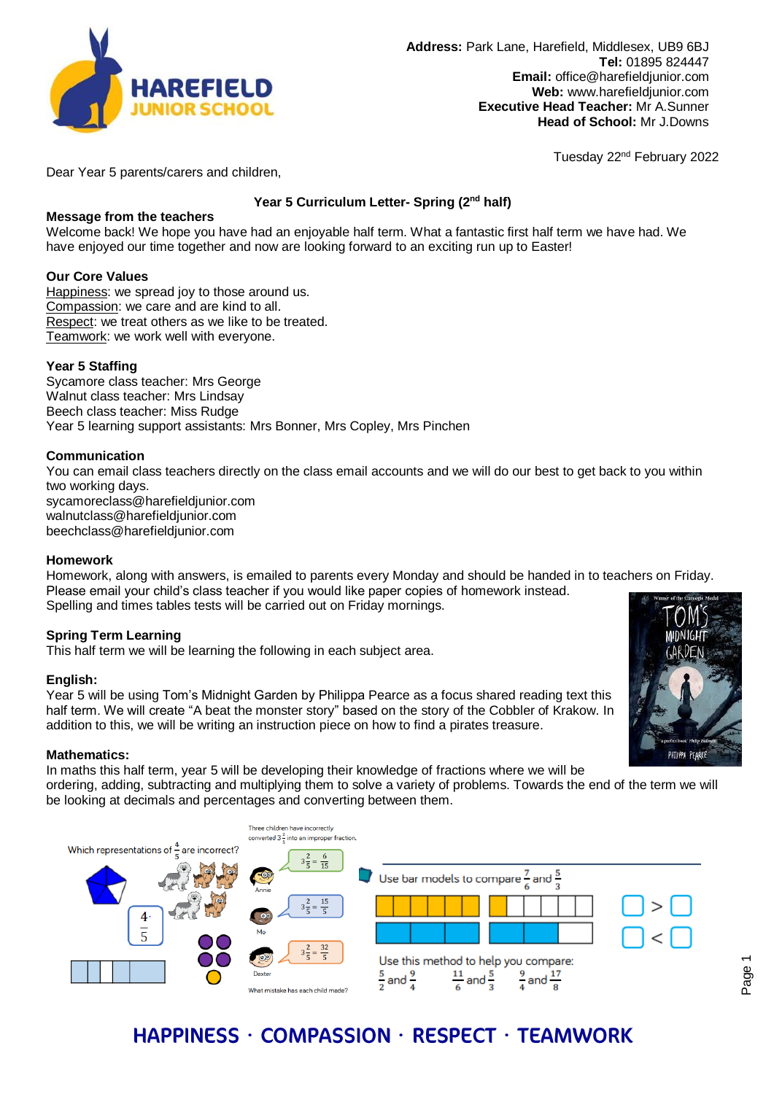

Tuesday 22nd February 2022

Dear Year 5 parents/carers and children,

# **Year 5 Curriculum Letter- Spring (2nd half)**

## **Message from the teachers**

Welcome back! We hope you have had an enjoyable half term. What a fantastic first half term we have had. We have enjoyed our time together and now are looking forward to an exciting run up to Easter!

### **Our Core Values**

Happiness: we spread joy to those around us. Compassion: we care and are kind to all. Respect: we treat others as we like to be treated. Teamwork: we work well with everyone.

## **Year 5 Staffing**

Sycamore class teacher: Mrs George Walnut class teacher: Mrs Lindsay Beech class teacher: Miss Rudge Year 5 learning support assistants: Mrs Bonner, Mrs Copley, Mrs Pinchen

### **Communication**

You can email class teachers directly on the class email accounts and we will do our best to get back to you within two working days. sycamoreclass@harefieldjunior.com walnutclass@harefieldjunior.com beechclass@harefieldjunior.com

### **Homework**

Homework, along with answers, is emailed to parents every Monday and should be handed in to teachers on Friday. Please email your child's class teacher if you would like paper copies of homework instead. Spelling and times tables tests will be carried out on Friday mornings.

### **Spring Term Learning**

This half term we will be learning the following in each subject area.

### **English:**

Year 5 will be using Tom's Midnight Garden by Philippa Pearce as a focus shared reading text this half term. We will create "A beat the monster story" based on the story of the Cobbler of Krakow. In addition to this, we will be writing an instruction piece on how to find a pirates treasure.

### **Mathematics:**

In maths this half term, year 5 will be developing their knowledge of fractions where we will be

ordering, adding, subtracting and multiplying them to solve a variety of problems. Towards the end of the term we will be looking at decimals and percentages and converting between them.



# HAPPINESS · COMPASSION · RESPECT · TEAMWORK

PHILIPPA PFARCE